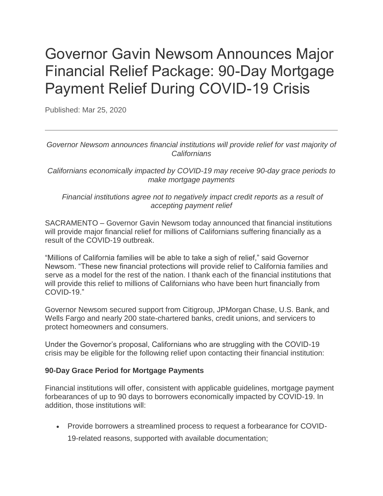# Governor Gavin Newsom Announces Major Financial Relief Package: 90-Day Mortgage Payment Relief During COVID-19 Crisis

Published: Mar 25, 2020

*Governor Newsom announces financial institutions will provide relief for vast majority of Californians*

*Californians economically impacted by COVID-19 may receive 90-day grace periods to make mortgage payments*

#### *Financial institutions agree not to negatively impact credit reports as a result of accepting payment relief*

SACRAMENTO – Governor Gavin Newsom today announced that financial institutions will provide major financial relief for millions of Californians suffering financially as a result of the COVID-19 outbreak.

"Millions of California families will be able to take a sigh of relief," said Governor Newsom. "These new financial protections will provide relief to California families and serve as a model for the rest of the nation. I thank each of the financial institutions that will provide this relief to millions of Californians who have been hurt financially from COVID-19."

Governor Newsom secured support from Citigroup, JPMorgan Chase, U.S. Bank, and Wells Fargo and nearly 200 state-chartered banks, credit unions, and servicers to protect homeowners and consumers.

Under the Governor's proposal, Californians who are struggling with the COVID-19 crisis may be eligible for the following relief upon contacting their financial institution:

### **90-Day Grace Period for Mortgage Payments**

Financial institutions will offer, consistent with applicable guidelines, mortgage payment forbearances of up to 90 days to borrowers economically impacted by COVID-19. In addition, those institutions will:

 Provide borrowers a streamlined process to request a forbearance for COVID-19-related reasons, supported with available documentation;